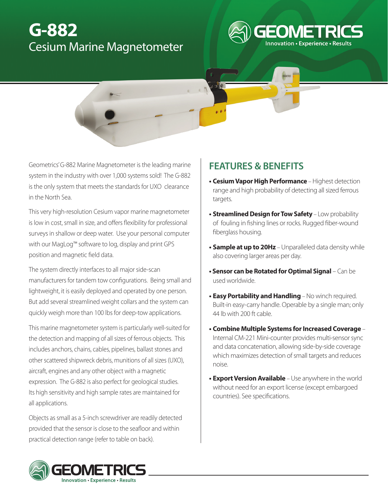# **G-882**  Cesium Marine Magnetometer

# **FEATURES & BENEFITS**

**• Cesium Vapor High Performance** – Highest detection range and high probability of detecting all sized ferrous targets.

**Innovation • Experience • Results** 

- **• Streamlined Design for Tow Safety** Low probability of fouling in fishing lines or rocks. Rugged fiber-wound fiberglass housing.
- **• Sample at up to 20Hz** Unparalleled data density while also covering larger areas per day.
- **Sensor can be Rotated for Optimal Signal** Can be used worldwide.
- **• Easy Portability and Handling** No winch required. Built-in easy-carry handle. Operable by a single man; only 44 lb with 200 ft cable.
- **• Combine Multiple Systems for Increased Coverage**  Internal CM-221 Mini-counter provides multi-sensor sync and data concatenation, allowing side-by-side coverage which maximizes detection of small targets and reduces noise.
- **• Export Version Available**  Use anywhere in the world without need for an export license (except embargoed countries). See specifications.

Geometrics' G-882 Marine Magnetometer is the leading marine system in the industry with over 1,000 systems sold! The G-882 is the only system that meets the standards for UXO clearance in the North Sea.

This very high-resolution Cesium vapor marine magnetometer is low in cost, small in size, and offers flexibility for professional surveys in shallow or deep water. Use your personal computer with our MagLog™ software to log, display and print GPS position and magnetic field data.

The system directly interfaces to all major side-scan manufacturers for tandem tow configurations. Being small and lightweight, it is easily deployed and operated by one person. But add several streamlined weight collars and the system can quickly weigh more than 100 lbs for deep-tow applications.

This marine magnetometer system is particularly well-suited for the detection and mapping of all sizes of ferrous objects. This includes anchors, chains, cables, pipelines, ballast stones and other scattered shipwreck debris, munitions of all sizes (UXO), aircraft, engines and any other object with a magnetic expression. The G-882 is also perfect for geological studies. Its high sensitivity and high sample rates are maintained for all applications.

Objects as small as a 5-inch screwdriver are readily detected provided that the sensor is close to the seafloor and within practical detection range (refer to table on back).